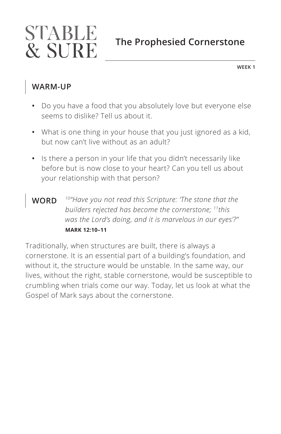# STABLE **The Prophesied Cornerstone & SURE**

**WEEK 1**

### **WARM-UP**

- **•** Do you have a food that you absolutely love but everyone else seems to dislike? Tell us about it.
- **•** What is one thing in your house that you just ignored as a kid, but now can't live without as an adult?
- **•** Is there a person in your life that you didn't necessarily like before but is now close to your heart? Can you tell us about your relationship with that person?
- **WORD** *10"Have you not read this Scripture: 'The stone that the builders rejected has become the cornerstone; 11this was the Lord's doing, and it is marvelous in our eyes'?" ^***MARK 12:10–11**

Traditionally, when structures are built, there is always a cornerstone. It is an essential part of a building's foundation, and without it, the structure would be unstable. In the same way, our lives, without the right, stable cornerstone, would be susceptible to crumbling when trials come our way. Today, let us look at what the Gospel of Mark says about the cornerstone.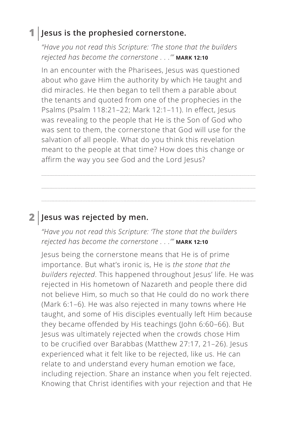#### **1 Jesus is the prophesied cornerstone.**

*"Have you not read this Scripture: 'The stone that the builders rejected has become the cornerstone . . .'" ^***MARK 12:10**

In an encounter with the Pharisees, Jesus was questioned about who gave Him the authority by which He taught and did miracles. He then began to tell them a parable about the tenants and quoted from one of the prophecies in the Psalms (Psalm 118:21–22; Mark 12:1–11). In effect, Jesus was revealing to the people that He is the Son of God who was sent to them, the cornerstone that God will use for the salvation of all people. What do you think this revelation meant to the people at that time? How does this change or affirm the way you see God and the Lord Jesus?

### **2 Jesus was rejected by men.**

*"Have you not read this Scripture: 'The stone that the builders rejected has become the cornerstone . . .'" ^***MARK 12:10**

Jesus being the cornerstone means that He is of prime importance. But what's ironic is, He is *the stone that the builders rejected*. This happened throughout Jesus' life. He was rejected in His hometown of Nazareth and people there did not believe Him, so much so that He could do no work there (Mark 6:1–6). He was also rejected in many towns where He taught, and some of His disciples eventually left Him because they became offended by His teachings (John 6:60–66). But Jesus was ultimately rejected when the crowds chose Him to be crucified over Barabbas (Matthew 27:17, 21–26). Jesus experienced what it felt like to be rejected, like us. He can relate to and understand every human emotion we face, including rejection. Share an instance when you felt rejected. Knowing that Christ identifies with your rejection and that He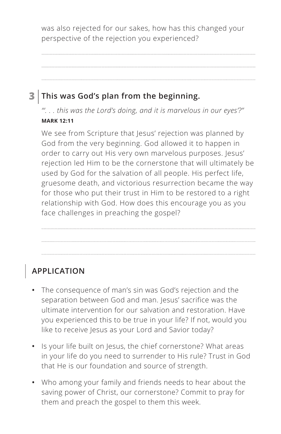was also rejected for our sakes, how has this changed your perspective of the rejection you experienced?

## **3 This was God's plan from the beginning.**

*"'. . . this was the Lord's doing, and it is marvelous in our eyes'?" ^***MARK 12:11**

We see from Scripture that Jesus' rejection was planned by God from the very beginning. God allowed it to happen in order to carry out His very own marvelous purposes. Jesus' rejection led Him to be the cornerstone that will ultimately be used by God for the salvation of all people. His perfect life, gruesome death, and victorious resurrection became the way for those who put their trust in Him to be restored to a right relationship with God. How does this encourage you as you face challenges in preaching the gospel?

# **APPLICATION**

- **•** The consequence of man's sin was God's rejection and the separation between God and man. Jesus' sacrifice was the ultimate intervention for our salvation and restoration. Have you experienced this to be true in your life? If not, would you like to receive Jesus as your Lord and Savior today?
- **•** Is your life built on Jesus, the chief cornerstone? What areas in your life do you need to surrender to His rule? Trust in God that He is our foundation and source of strength.
- **•** Who among your family and friends needs to hear about the saving power of Christ, our cornerstone? Commit to pray for them and preach the gospel to them this week.